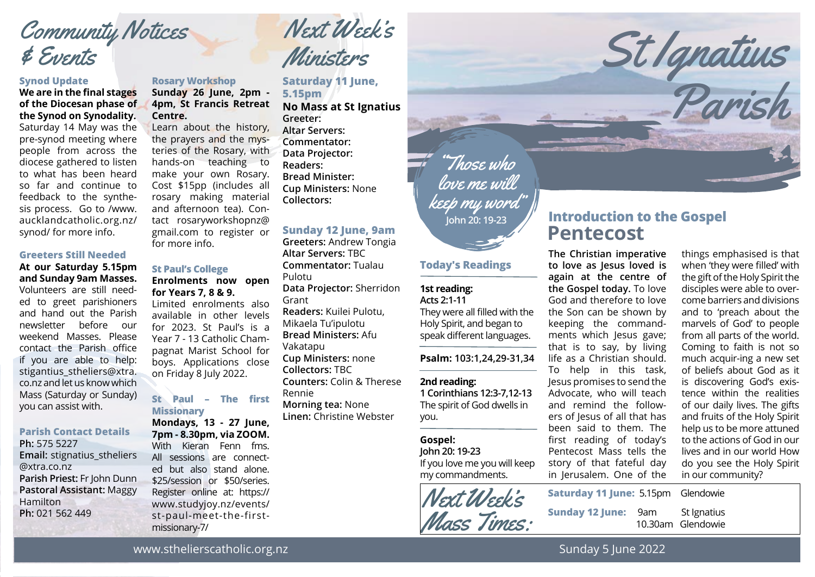## Community Notices & Events

#### **Synod Update**

#### **We are in the final stages of the Diocesan phase of the Synod on Synodality.** Saturday 14 May was the

pre-synod meeting where people from across the diocese gathered to listen to what has been heard so far and continue to feedback to the synthesis process. Go to /www. aucklandcatholic.org.nz/ synod/ for more info.

#### **Greeters Still Needed**

### **At our Saturday 5.15pm and Sunday 9am Masses.** Volunteers are still needed to greet parishioners and hand out the Parish newsletter before our weekend Masses. Please contact the Parish office if you are able to help: stigantius stheliers@xtra. co.nz and let us know which Mass (Saturday or Sunday) you can assist with.

#### **Parish Contact Details**

**Ph:** 575 5227 **Email:** stignatius\_stheliers @xtra.co.nz **Parish Priest:** Fr John Dunn **Pastoral Assistant:** Maggy Hamilton **Ph:** 021 562 449

### **Rosary Workshop**

**Sunday 26 June, 2pm - 4pm, St Francis Retreat Centre.**

Learn about the history, the prayers and the mysteries of the Rosary, with hands-on teaching to make your own Rosary. Cost \$15pp (includes all rosary making material and afternoon tea). Contact rosaryworkshopnz@ gmail.com to register or for more info.

### **St Paul's College**

**Enrolments now open for Years 7, 8 & 9.** Limited enrolments also

available in other levels for 2023. St Paul's is a Year 7 - 13 Catholic Champagnat Marist School for boys. Applications close on Friday 8 July 2022.

### **St Paul – The first Missionary**

**Mondays, 13 - 27 June, 7pm - 8.30pm, via ZOOM.** With Kieran Fenn fms. All sessions are connected but also stand alone. \$25/session or \$50/series. Register online at: https:// www.studyjoy.nz/events/ st-paul-meet-the-firstmissionary-7/

Next Week's Ministers

**Saturday 11 June, 5.15pm No Mass at St Ignatius Greeter: Altar Servers: Commentator:** 

**Data Projector: Readers: Bread Minister: Cup Ministers:** None **Collectors:** 

### **Sunday 12 June, 9am**

**Greeters:** Andrew Tongia **Altar Servers:** TBC **Commentator:** Tualau Pulotu **Data Projector:** Sherridon Grant **Readers:** Kuilei Pulotu, Mikaela Tu'ipulotu **Bread Ministers:** Afu Vakatapu **Cup Ministers:** none **Collectors:** TBC **Counters:** Colin & Therese Rennie **Morning tea:** None **Linen:** Christine Webster

# "Those who love me will keep my word"

### **Today's Readings**

#### **1st reading: Acts 2:1-11**

They were all filled with the Holy Spirit, and began to speak different languages.

**Psalm: 103:1,24,29-31,34**

#### **2nd reading:**

**1 Corinthians 12:3-7,12-13** The spirit of God dwells in you.

### **Gospel:**

**John 20: 19-23** If you love me you will keep my commandments.



### **Pentecost Introduction to the Gospel John 20: 19-23**

St Ignatius

Parish

**The Christian imperative to love as Jesus loved is again at the centre of the Gospel today.** To love God and therefore to love the Son can be shown by keeping the commandments which Jesus gave; that is to say, by living life as a Christian should. To help in this task, Jesus promises to send the Advocate, who will teach and remind the followers of Jesus of all that has been said to them. The first reading of today's Pentecost Mass tells the story of that fateful day in Jerusalem. One of the

things emphasised is that when 'they were filled' with the gift of the Holy Spirit the disciples were able to overcome barriers and divisions and to 'preach about the marvels of God' to people from all parts of the world. Coming to faith is not so much acquir-ing a new set of beliefs about God as it is discovering God's existence within the realities of our daily lives. The gifts and fruits of the Holy Spirit help us to be more attuned to the actions of God in our lives and in our world How do you see the Holy Spirit in our community?

| <b>Saturday 11 June: 5.15pm Glendowie</b> |     |                                  |
|-------------------------------------------|-----|----------------------------------|
| <b>Sunday 12 June:</b>                    | 9am | St Ignatius<br>10.30am Glendowie |

www.sthelierscatholic.org.nz

Sunday 5 June 2022